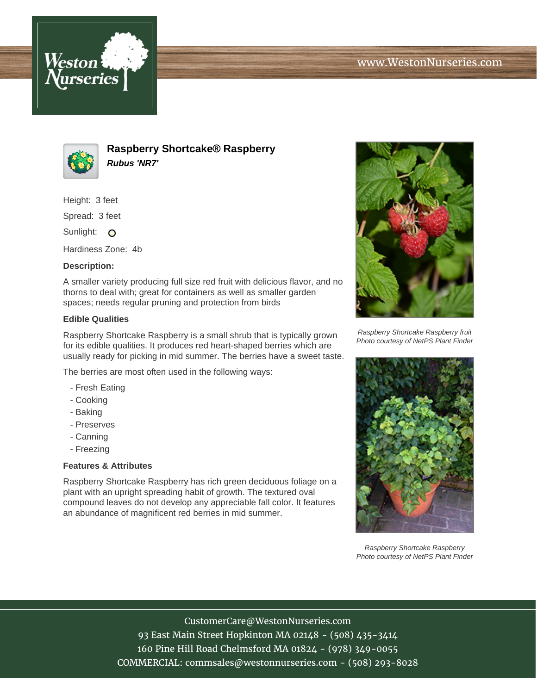



**Raspberry Shortcake® Raspberry Rubus 'NR7'**

Height: 3 feet

Spread: 3 feet

Sunlight: O

Hardiness Zone: 4b

## **Description:**

A smaller variety producing full size red fruit with delicious flavor, and no thorns to deal with; great for containers as well as smaller garden spaces; needs regular pruning and protection from birds

## **Edible Qualities**

Raspberry Shortcake Raspberry is a small shrub that is typically grown for its edible qualities. It produces red heart-shaped berries which are usually ready for picking in mid summer. The berries have a sweet taste.

The berries are most often used in the following ways:

- Fresh Eating
- Cooking
- Baking
- Preserves
- Canning
- Freezing

## **Features & Attributes**

Raspberry Shortcake Raspberry has rich green deciduous foliage on a plant with an upright spreading habit of growth. The textured oval compound leaves do not develop any appreciable fall color. It features an abundance of magnificent red berries in mid summer.



Raspberry Shortcake Raspberry fruit Photo courtesy of NetPS Plant Finder



Raspberry Shortcake Raspberry Photo courtesy of NetPS Plant Finder

CustomerCare@WestonNurseries.com 93 East Main Street Hopkinton MA 02148 - (508) 435-3414 160 Pine Hill Road Chelmsford MA 01824 - (978) 349-0055 COMMERCIAL: commsales@westonnurseries.com - (508) 293-8028